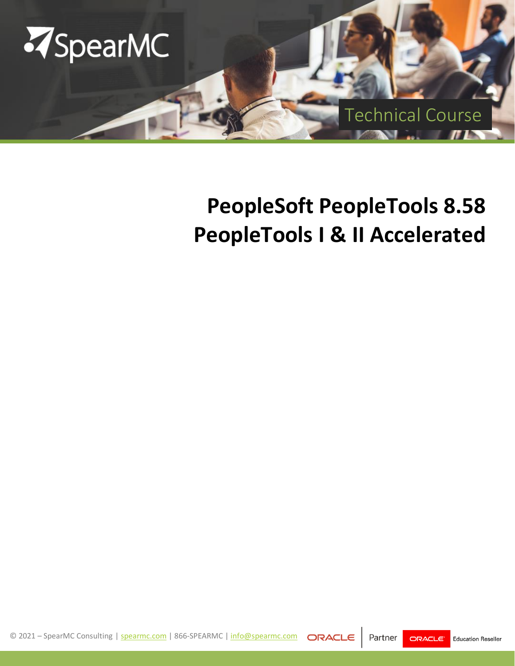

# **PeopleSoft PeopleTools 8.58 PeopleTools I & II Accelerated**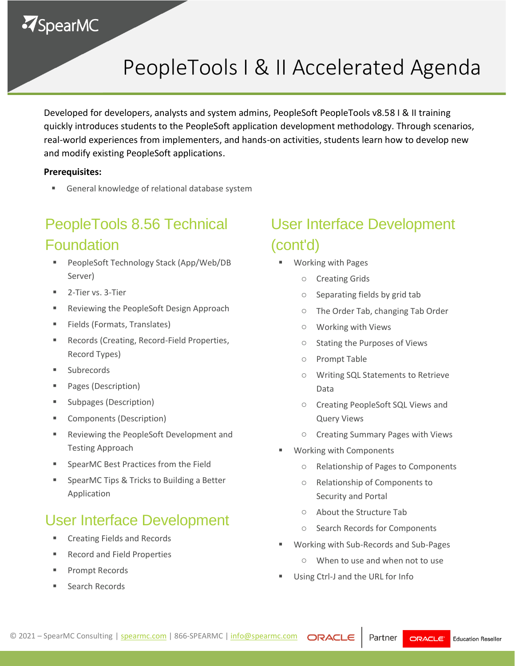# **ZSpearMC**

# PeopleTools I & II Accelerated Agenda

Developed for developers, analysts and system admins, PeopleSoft PeopleTools v8.58 I & II training quickly introduces students to the PeopleSoft application development methodology. Through scenarios, real-world experiences from implementers, and hands-on activities, students learn how to develop new and modify existing PeopleSoft applications.

#### **Prerequisites:**

■ General knowledge of relational database system

# **Foundation** PeopleTools 8.56 Technical

- PeopleSoft Technology Stack (App/Web/DB Server)
- 2-Tier vs. 3-Tier
- Reviewing the PeopleSoft Design Approach
- Fields (Formats, Translates)
- Records (Creating, Record-Field Properties, Record Types)
- Subrecords
- Pages (Description)
- Subpages (Description)
- Components (Description)
- Reviewing the PeopleSoft Development and Testing Approach
- SpearMC Best Practices from the Field
- SpearMC Tips & Tricks to Building a Better Application

#### User Interface Development

- Creating Fields and Records
- Record and Field Properties
- Prompt Records
- Search Records

# User Interface Development (cont'd)

- Working with Pages
	- o Creating Grids
	- o Separating fields by grid tab
	- o The Order Tab, changing Tab Order
	- o Working with Views
	- o Stating the Purposes of Views
	- o Prompt Table
	- o Writing SQL Statements to Retrieve Data
	- o Creating PeopleSoft SQL Views and Query Views
	- o Creating Summary Pages with Views
- Working with Components
	- o Relationship of Pages to Components
	- o Relationship of Components to Security and Portal
	- o About the Structure Tab
	- o Search Records for Components
- Working with Sub-Records and Sub-Pages
	- o When to use and when not to use
- Using Ctrl-J and the URL for Info